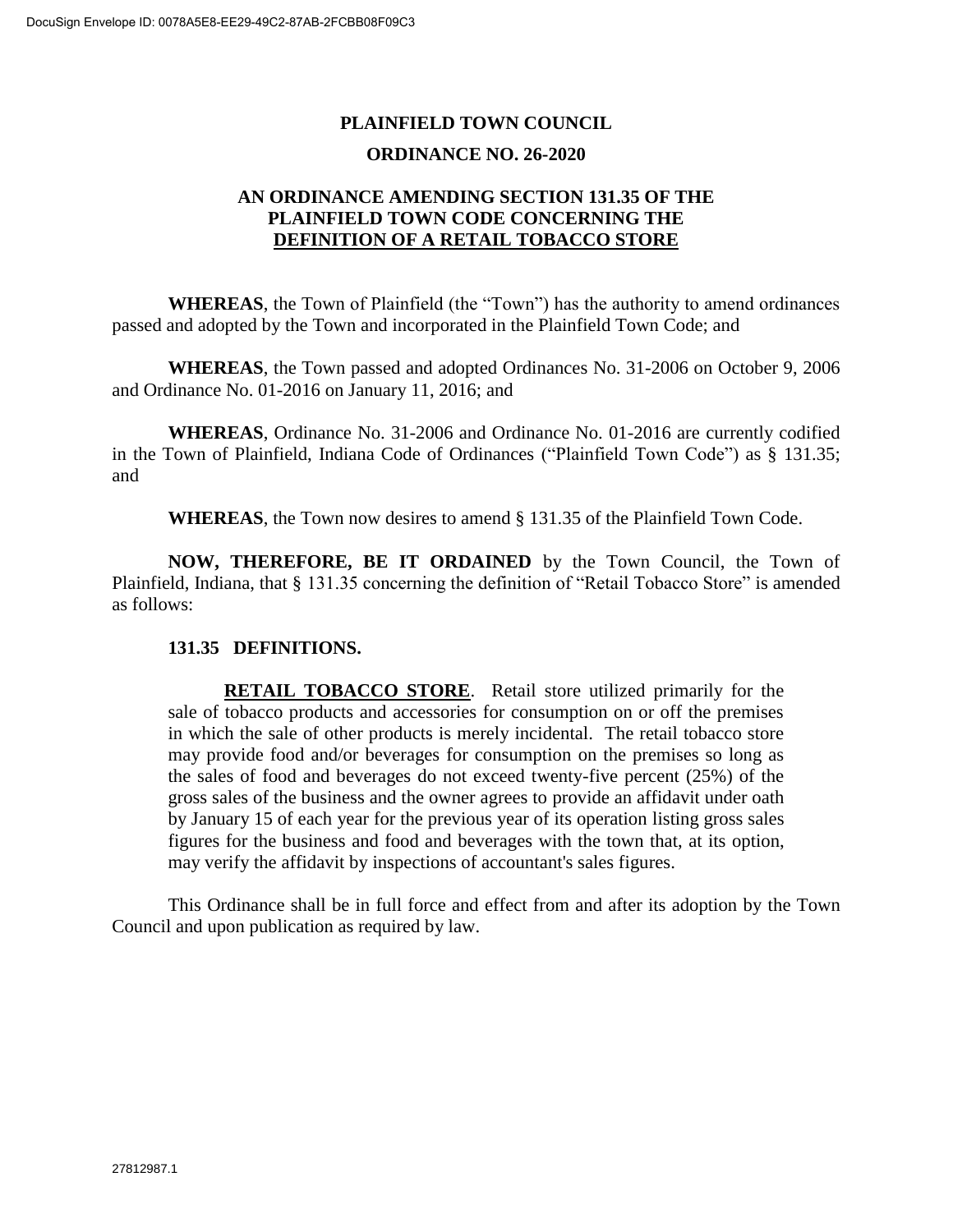## **PLAINFIELD TOWN COUNCIL ORDINANCE NO. 26-2020**

## **AN ORDINANCE AMENDING SECTION 131.35 OF THE PLAINFIELD TOWN CODE CONCERNING THE DEFINITION OF A RETAIL TOBACCO STORE**

**WHEREAS**, the Town of Plainfield (the "Town") has the authority to amend ordinances passed and adopted by the Town and incorporated in the Plainfield Town Code; and

**WHEREAS**, the Town passed and adopted Ordinances No. 31-2006 on October 9, 2006 and Ordinance No. 01-2016 on January 11, 2016; and

**WHEREAS**, Ordinance No. 31-2006 and Ordinance No. 01-2016 are currently codified in the Town of Plainfield, Indiana Code of Ordinances ("Plainfield Town Code") as § 131.35; and

**WHEREAS**, the Town now desires to amend § 131.35 of the Plainfield Town Code.

**NOW, THEREFORE, BE IT ORDAINED** by the Town Council, the Town of Plainfield, Indiana, that § 131.35 concerning the definition of "Retail Tobacco Store" is amended as follows:

## **131.35 DEFINITIONS.**

**RETAIL TOBACCO STORE**. Retail store utilized primarily for the sale of tobacco products and accessories for consumption on or off the premises in which the sale of other products is merely incidental. The retail tobacco store may provide food and/or beverages for consumption on the premises so long as the sales of food and beverages do not exceed twenty-five percent (25%) of the gross sales of the business and the owner agrees to provide an affidavit under oath by January 15 of each year for the previous year of its operation listing gross sales figures for the business and food and beverages with the town that, at its option, may verify the affidavit by inspections of accountant's sales figures.

This Ordinance shall be in full force and effect from and after its adoption by the Town Council and upon publication as required by law.